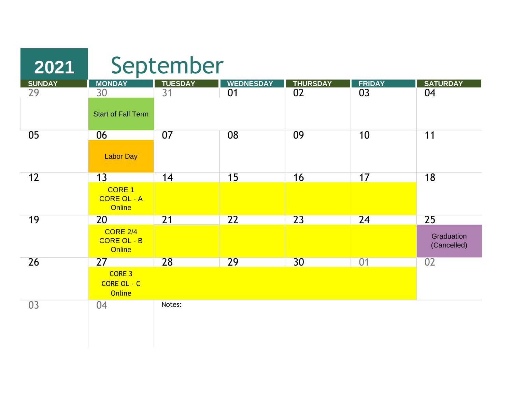| 2021          |                                                         | September       |                  |                 |               |                                 |  |  |
|---------------|---------------------------------------------------------|-----------------|------------------|-----------------|---------------|---------------------------------|--|--|
| <b>SUNDAY</b> | <b>MONDAY</b>                                           | <b>TUESDAY</b>  | <b>WEDNESDAY</b> | <b>THURSDAY</b> | <b>FRIDAY</b> | <b>SATURDAY</b>                 |  |  |
| 29            | 30<br><b>Start of Fall Term</b>                         | 31              | 01               | 02              | 03            | 04                              |  |  |
| 05            | 06<br><b>Labor Day</b>                                  | 07              | 08               | 09              | 10            | 11                              |  |  |
| 12            | 13<br>CORE <sub>1</sub><br><b>CORE OL - A</b><br>Online | 14              | 15               | 16              | 17            | 18                              |  |  |
| 19            | 20<br><b>CORE 2/4</b><br><b>CORE OL - B</b><br>Online   | $\overline{21}$ | 22               | 23              | 24            | 25<br>Graduation<br>(Cancelled) |  |  |
| 26            | 27<br>CORE 3<br>CORE OL - C<br>Online                   | 28              | 29               | 30              | 01            | 02                              |  |  |
| 03            | 04                                                      | Notes:          |                  |                 |               |                                 |  |  |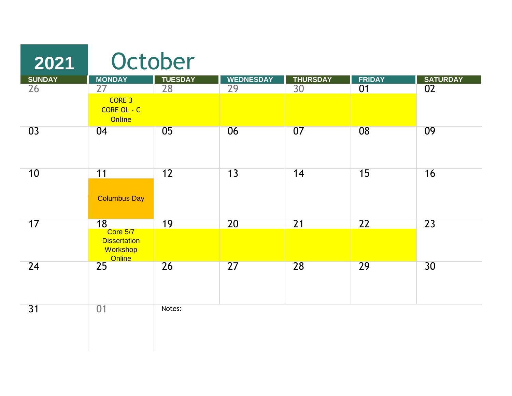| 2021          |                                                                    | October        |                  |                       |               |                 |
|---------------|--------------------------------------------------------------------|----------------|------------------|-----------------------|---------------|-----------------|
| <b>SUNDAY</b> | <b>MONDAY</b><br>27                                                | <b>TUESDAY</b> | <b>WEDNESDAY</b> | <b>THURSDAY</b><br>30 | <b>FRIDAY</b> | <b>SATURDAY</b> |
| 26            | CORE 3<br>CORE OL - C<br><b>Online</b>                             | 28             | 29               |                       | 01            | 02              |
| 03            | 04                                                                 | 05             | 06               | 07                    | 08            | 09              |
| 10            | 11<br><b>Columbus Day</b>                                          | 12             | 13               | 14                    | 15            | 16              |
| 17            | 18<br>Core 5/7<br><b>Dissertation</b><br>Workshop<br><b>Online</b> | 19             | 20               | $\overline{21}$       | 22            | 23              |
| 24            | 25                                                                 | 26             | 27               | 28                    | 29            | 30              |
| 31            | 01                                                                 | Notes:         |                  |                       |               |                 |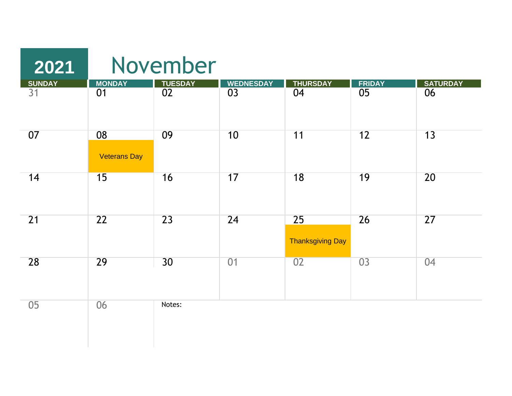| 2021         |                           | November      |           |                               |                 |                 |
|--------------|---------------------------|---------------|-----------|-------------------------------|-----------------|-----------------|
|              |                           |               |           | <b>THURSDAY</b>               |                 | <b>SATURDAY</b> |
| SUNDAY<br>31 | MONDAY<br>01              | TUESDAY<br>02 | WEDNESDAY | 04                            | FRIDAY<br>05    | $\overline{06}$ |
| 07           | 08<br><b>Veterans Day</b> | 09            | 10        | 11                            | 12              | 13              |
| 14           | 15                        | 16            | 17        | 18                            | 19              | 20              |
| 21           | 22                        | 23            | 24        | 25<br><b>Thanksgiving Day</b> | 26              | $\overline{27}$ |
| 28           | 29                        | 30            | 01        | 02                            | $\overline{03}$ | 04              |
| 05           | 06                        | Notes:        |           |                               |                 |                 |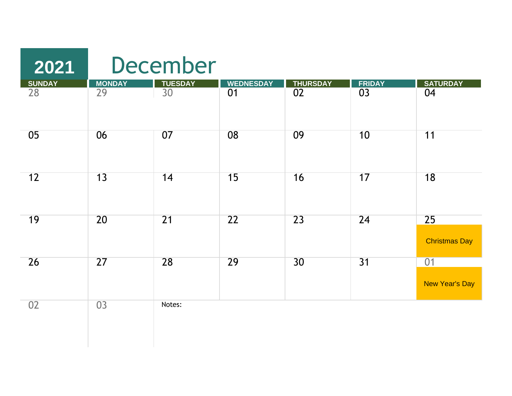## December

| <b>SUNDAY</b>   | <b>MONDAY</b>   | <b>TUESDAY</b>  | <b>WEDNESDAY</b> | <b>THURSDAY</b> |                 | <b>SATURDAY</b>            |
|-----------------|-----------------|-----------------|------------------|-----------------|-----------------|----------------------------|
| $\overline{28}$ | $\overline{29}$ | $\overline{30}$ | $\overline{01}$  | $\overline{02}$ | FRIDAY<br>03    | 04                         |
| 05              | 06              | 07              | 08               | 09              | 10              | 11                         |
| 12              | 13              | 14              | 15               | 16              | 17              | 18                         |
| 19              | 20              | 21              | 22               | 23              | 24              | 25<br><b>Christmas Day</b> |
| 26              | 27              | 28              | 29               | 30              | $\overline{31}$ | 01<br>New Year's Day       |
| 02              | 03              | Notes:          |                  |                 |                 |                            |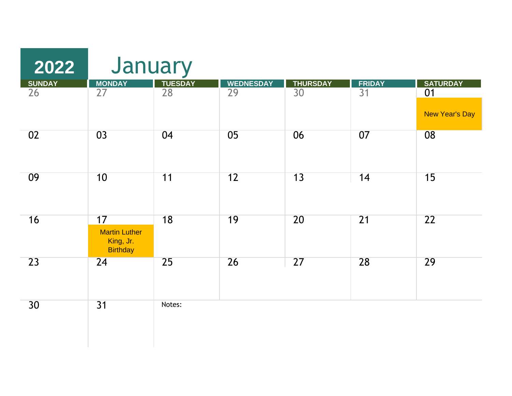| $\boxed{2022}$  | January                                                    |                 |                  |                 |              |                       |
|-----------------|------------------------------------------------------------|-----------------|------------------|-----------------|--------------|-----------------------|
| <b>SUNDAY</b>   |                                                            | <b>TUESDAY</b>  | <b>WEDNESDAY</b> |                 |              | <b>SATURDAY</b>       |
| $\overline{26}$ | MONDAY<br>27                                               | $\overline{28}$ | $\overline{29}$  | THURSDAY<br>30  | FRIDAY<br>31 | 01                    |
|                 |                                                            |                 |                  |                 |              | <b>New Year's Day</b> |
| 02              | 03                                                         | 04              | 05               | 06              | 07           | 08                    |
| 09              | 10                                                         | 11              | 12               | 13              | 14           | 15                    |
| 16              | 17<br><b>Martin Luther</b><br>King, Jr.<br><b>Birthday</b> | $\overline{18}$ | 19               | 20              | 21           | $\overline{22}$       |
| 23              | $\overline{24}$                                            | 25              | 26               | $\overline{27}$ | 28           | 29                    |
| 30              | 31                                                         | Notes:          |                  |                 |              |                       |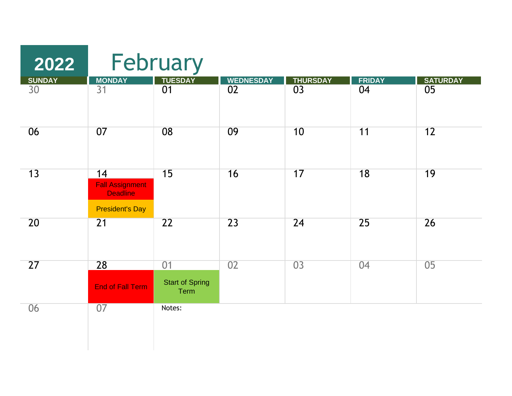| 2022            |                                                                           | February                             |                  |                 |                 |                 |
|-----------------|---------------------------------------------------------------------------|--------------------------------------|------------------|-----------------|-----------------|-----------------|
| <b>SUNDAY</b>   | <b>MONDAY</b>                                                             | <b>TUESDAY</b>                       | <b>WEDNESDAY</b> | <b>THURSDAY</b> | <b>FRIDAY</b>   | <b>SATURDAY</b> |
| $\overline{30}$ | $\overline{31}$                                                           | $\overline{01}$                      | $\overline{02}$  | $\overline{03}$ | $\overline{04}$ | $\overline{05}$ |
| 06              | 07                                                                        | 08                                   | 09               | 10              | 11              | $\overline{12}$ |
| 13              | 14<br><b>Fall Assignment</b><br><b>Deadline</b><br><b>President's Day</b> | 15                                   | 16               | 17              | 18              | 19              |
| 20              | 21                                                                        | 22                                   | 23               | 24              | $\overline{25}$ | 26              |
| 27              | 28<br><b>End of Fall Term</b>                                             | 01<br><b>Start of Spring</b><br>Term | 02               | 03              | 04              | 05              |
| 06              | $\overline{07}$                                                           | Notes:                               |                  |                 |                 |                 |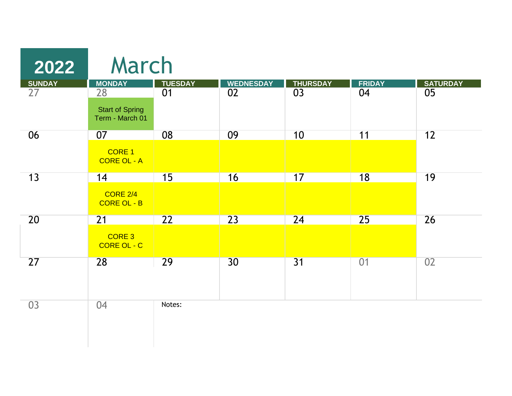| 2022          | March                                     |                 |                  |                 |               |                 |
|---------------|-------------------------------------------|-----------------|------------------|-----------------|---------------|-----------------|
| <b>SUNDAY</b> | <b>MONDAY</b>                             | <b>TUESDAY</b>  | <b>WEDNESDAY</b> | <b>THURSDAY</b> | <b>FRIDAY</b> | <b>SATURDAY</b> |
| 27            | 28                                        | 01              | 02               | 03              | 04            | 05              |
|               | <b>Start of Spring</b><br>Term - March 01 |                 |                  |                 |               |                 |
| 06            | 07                                        | 08              | 09               | 10              | 11            | 12              |
|               | CORE 1<br><b>CORE OL - A</b>              |                 |                  |                 |               |                 |
| 13            | 14                                        | 15              | 16               | 17              | 18            | 19              |
|               | <b>CORE 2/4</b><br>CORE OL - B            |                 |                  |                 |               |                 |
| 20            | $\overline{21}$                           | $\overline{22}$ | $\overline{23}$  | $\overline{24}$ | 25            | 26              |
|               | CORE <sub>3</sub><br>CORE OL - C          |                 |                  |                 |               |                 |
| 27            | 28                                        | 29              | 30 <sup>°</sup>  | 31              | 01            | 02              |
|               |                                           |                 |                  |                 |               |                 |
| 03            | 04                                        | Notes:          |                  |                 |               |                 |
|               |                                           |                 |                  |                 |               |                 |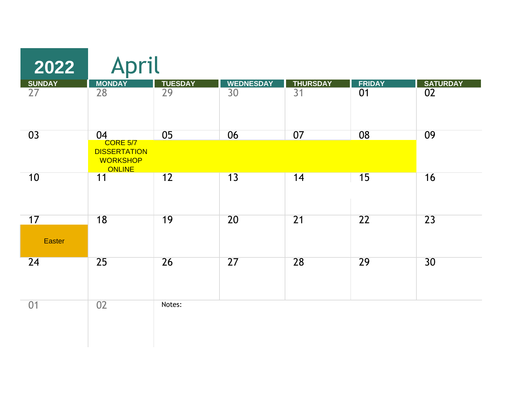| 2022            | April                                                   |                                   |                                     |                                    |                     |                                    |
|-----------------|---------------------------------------------------------|-----------------------------------|-------------------------------------|------------------------------------|---------------------|------------------------------------|
| SUNDAY<br>27    | <b>MONDAY</b><br>$\overline{28}$                        | <b>TUESDAY</b><br>$\overline{29}$ | <b>WEDNESDAY</b><br>$\overline{30}$ | <b>THURSDAY</b><br>$\overline{31}$ | <b>FRIDAY</b><br>01 | <b>SATURDAY</b><br>$\overline{02}$ |
|                 |                                                         |                                   |                                     |                                    |                     |                                    |
| 03              | 04<br><b>CORE 5/7</b>                                   | 05                                | 06                                  | 07                                 | 08                  | 09                                 |
|                 | <b>DISSERTATION</b><br><b>WORKSHOP</b><br><b>ONLINE</b> |                                   |                                     |                                    |                     |                                    |
| 10              | 11                                                      | 12                                | 13                                  | 14                                 | 15                  | 16                                 |
|                 |                                                         |                                   |                                     |                                    |                     |                                    |
| 17              | 18                                                      | 19                                | 20                                  | $\overline{21}$                    | $\overline{22}$     | 23                                 |
| <b>Easter</b>   |                                                         |                                   |                                     |                                    |                     |                                    |
| $\overline{24}$ | 25                                                      | 26                                | 27                                  | 28                                 | 29                  | 30                                 |
|                 |                                                         |                                   |                                     |                                    |                     |                                    |
| 01              | 02                                                      | Notes:                            |                                     |                                    |                     |                                    |
|                 |                                                         |                                   |                                     |                                    |                     |                                    |
|                 |                                                         |                                   |                                     |                                    |                     |                                    |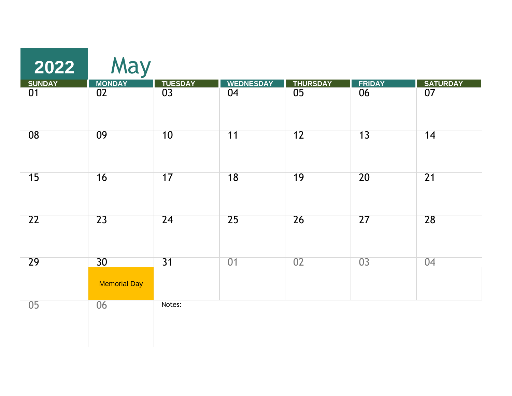| 2022         | May                 |                 |                  |                                    |                 |                                    |
|--------------|---------------------|-----------------|------------------|------------------------------------|-----------------|------------------------------------|
| SUNDAY<br>01 | MONDAY<br>02        | TUESDAY<br>03   | <b>WEDNESDAY</b> | <b>THURSDAY</b><br>$\overline{05}$ | FRIDAY<br>06    | <b>SATURDAY</b><br>$\overline{07}$ |
|              |                     |                 | 04               |                                    |                 |                                    |
| 08           | 09                  | 10              | 11               | 12                                 | 13              | 14                                 |
| 15           | 16                  | 17              | $\overline{18}$  | 19                                 | $\overline{20}$ | 21                                 |
| 22           | 23                  | 24              | 25               | 26                                 | 27              | 28                                 |
| 29           | 30                  | $\overline{31}$ | 01               | 02                                 | $\overline{03}$ | 04                                 |
|              | <b>Memorial Day</b> |                 |                  |                                    |                 |                                    |
| 05           | 06                  | Notes:          |                  |                                    |                 |                                    |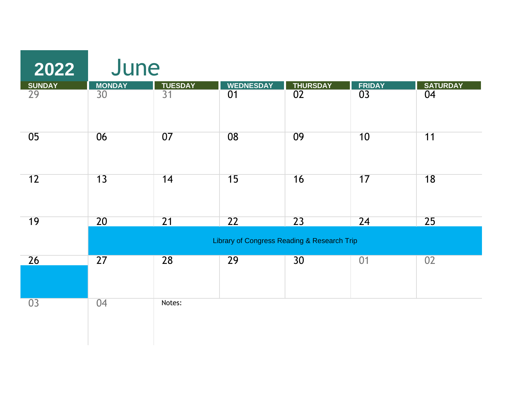| 2022            | June            |                |                  |                                             |               |                 |
|-----------------|-----------------|----------------|------------------|---------------------------------------------|---------------|-----------------|
| <b>SUNDAY</b>   | <b>MONDAY</b>   | <b>TUESDAY</b> | <b>WEDNESDAY</b> | <b>THURSDAY</b>                             | <b>FRIDAY</b> | <b>SATURDAY</b> |
| 29              | 30              | 31             | 01               | $\overline{02}$                             | 03            | 04              |
| 05              | 06              | 07             | 08               | 09                                          | 10            | 11              |
| 12              | 13              | 14             | 15               | 16                                          | 17            | 18              |
| 19              | 20              | 21             | 22               | 23                                          | 24            | 25              |
|                 |                 |                |                  | Library of Congress Reading & Research Trip |               |                 |
| 26              | $\overline{27}$ | 28             | 29               | 30                                          | 01            | 02              |
| $\overline{03}$ | 04              | Notes:         |                  |                                             |               |                 |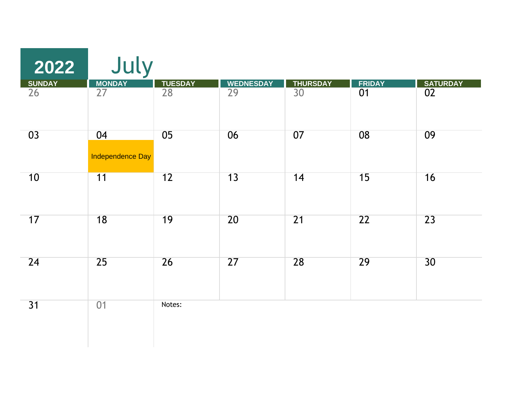| 2022         | July             |                 |                  |                 |                 |                 |
|--------------|------------------|-----------------|------------------|-----------------|-----------------|-----------------|
|              | <b>MONDAY</b>    |                 | <b>WEDNESDAY</b> | <b>THURSDAY</b> | <b>FRIDAY</b>   | <b>SATURDAY</b> |
| SUNDAY<br>26 | $\overline{27}$  | TUESDAY<br>28   | $\overline{29}$  | $\overline{30}$ | $\overline{01}$ | 02              |
| 03           | 04               | 05              | 06               | 07              | 08              | 09              |
|              | Independence Day |                 |                  |                 |                 |                 |
| 10           | $\overline{11}$  | 12              | 13               | 14              | 15              | 16              |
| 17           | $\overline{18}$  | 19              | 20               | $\overline{21}$ | $\overline{22}$ | 23              |
| 24           | $\overline{25}$  | $\overline{26}$ | 27               | 28              | 29              | 30              |
| 31           | 01               | Notes:          |                  |                 |                 |                 |